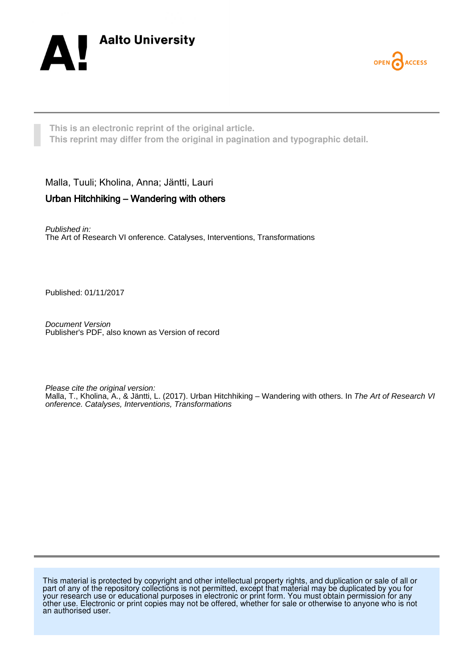



**This is an electronic reprint of the original article. This reprint may differ from the original in pagination and typographic detail.**

Malla, Tuuli; Kholina, Anna; Jäntti, Lauri

### Urban Hitchhiking – Wandering with others

Published in: The Art of Research VI onference. Catalyses, Interventions, Transformations

Published: 01/11/2017

Document Version Publisher's PDF, also known as Version of record

Please cite the original version: Malla, T., Kholina, A., & Jäntti, L. (2017). Urban Hitchhiking – Wandering with others. In The Art of Research VI onference. Catalyses, Interventions, Transformations

This material is protected by copyright and other intellectual property rights, and duplication or sale of all or part of any of the repository collections is not permitted, except that material may be duplicated by you for your research use or educational purposes in electronic or print form. You must obtain permission for any other use. Electronic or print copies may not be offered, whether for sale or otherwise to anyone who is not an authorised user.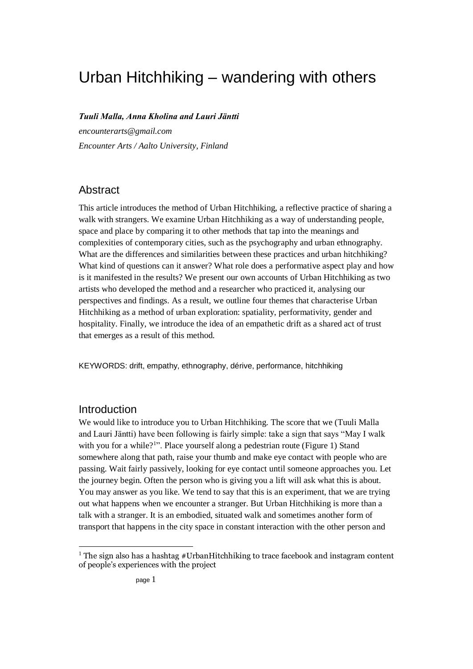# Urban Hitchhiking – wandering with others

*Tuuli Malla, Anna Kholina and Lauri Jäntti*

*encounterarts@gmail.com Encounter Arts / Aalto University, Finland*

## **Abstract**

This article introduces the method of Urban Hitchhiking, a reflective practice of sharing a walk with strangers. We examine Urban Hitchhiking as a way of understanding people, space and place by comparing it to other methods that tap into the meanings and complexities of contemporary cities, such as the psychography and urban ethnography. What are the differences and similarities between these practices and urban hitchhiking? What kind of questions can it answer? What role does a performative aspect play and how is it manifested in the results? We present our own accounts of Urban Hitchhiking as two artists who developed the method and a researcher who practiced it, analysing our perspectives and findings. As a result, we outline four themes that characterise Urban Hitchhiking as a method of urban exploration: spatiality, performativity, gender and hospitality. Finally, we introduce the idea of an empathetic drift as a shared act of trust that emerges as a result of this method.

KEYWORDS: drift, empathy, ethnography, dérive, performance, hitchhiking

### Introduction

1

We would like to introduce you to Urban Hitchhiking. The score that we (Tuuli Malla and Lauri Jäntti) have been following is fairly simple: take a sign that says "May I walk with you for a while?<sup>1</sup>". Place yourself along a pedestrian route (Figure 1) Stand somewhere along that path, raise your thumb and make eye contact with people who are passing. Wait fairly passively, looking for eye contact until someone approaches you. Let the journey begin. Often the person who is giving you a lift will ask what this is about. You may answer as you like. We tend to say that this is an experiment, that we are trying out what happens when we encounter a stranger. But Urban Hitchhiking is more than a talk with a stranger. It is an embodied, situated walk and sometimes another form of transport that happens in the city space in constant interaction with the other person and

<sup>&</sup>lt;sup>1</sup> The sign also has a hashtag #UrbanHitchhiking to trace facebook and instagram content of people's experiences with the project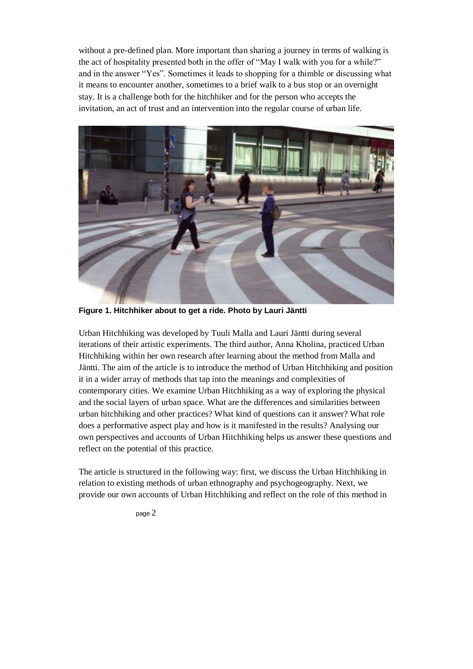without a pre-defined plan. More important than sharing a journey in terms of walking is the act of hospitality presented both in the offer of "May I walk with you for a while?" and in the answer "Yes". Sometimes it leads to shopping for a thimble or discussing what it means to encounter another, sometimes to a brief walk to a bus stop or an overnight stay. It is a challenge both for the hitchhiker and for the person who accepts the invitation, an act of trust and an intervention into the regular course of urban life.



**Figure 1. Hitchhiker about to get a ride. Photo by Lauri Jäntti**

Urban Hitchhiking was developed by Tuuli Malla and Lauri Jäntti during several iterations of their artistic experiments. The third author, Anna Kholina, practiced Urban Hitchhiking within her own research after learning about the method from Malla and Jäntti. The aim of the article is to introduce the method of Urban Hitchhiking and position it in a wider array of methods that tap into the meanings and complexities of contemporary cities. We examine Urban Hitchhiking as a way of exploring the physical and the social layers of urban space. What are the differences and similarities between urban hitchhiking and other practices? What kind of questions can it answer? What role does a performative aspect play and how is it manifested in the results? Analysing our own perspectives and accounts of Urban Hitchhiking helps us answer these questions and reflect on the potential of this practice.

The article is structured in the following way: first, we discuss the Urban Hitchhiking in relation to existing methods of urban ethnography and psychogeography. Next, we provide our own accounts of Urban Hitchhiking and reflect on the role of this method in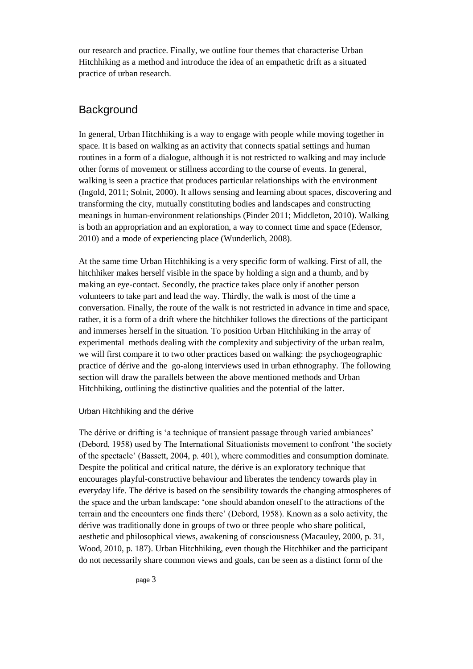our research and practice. Finally, we outline four themes that characterise Urban Hitchhiking as a method and introduce the idea of an empathetic drift as a situated practice of urban research.

# **Background**

In general, Urban Hitchhiking is a way to engage with people while moving together in space. It is based on walking as an activity that connects spatial settings and human routines in a form of a dialogue, although it is not restricted to walking and may include other forms of movement or stillness according to the course of events. In general, walking is seen a practice that produces particular relationships with the environment (Ingold, 2011; Solnit, 2000). It allows sensing and learning about spaces, discovering and transforming the city, mutually constituting bodies and landscapes and constructing meanings in human-environment relationships (Pinder 2011; Middleton, 2010). Walking is both an appropriation and an exploration, a way to connect time and space (Edensor, 2010) and a mode of experiencing place (Wunderlich, 2008).

At the same time Urban Hitchhiking is a very specific form of walking. First of all, the hitchhiker makes herself visible in the space by holding a sign and a thumb, and by making an eye-contact. Secondly, the practice takes place only if another person volunteers to take part and lead the way. Thirdly, the walk is most of the time a conversation. Finally, the route of the walk is not restricted in advance in time and space, rather, it is a form of a drift where the hitchhiker follows the directions of the participant and immerses herself in the situation. To position Urban Hitchhiking in the array of experimental methods dealing with the complexity and subjectivity of the urban realm, we will first compare it to two other practices based on walking: the psychogeographic practice of dérive and the go-along interviews used in urban ethnography. The following section will draw the parallels between the above mentioned methods and Urban Hitchhiking, outlining the distinctive qualities and the potential of the latter.

### Urban Hitchhiking and the dérive

The dérive or drifting is 'a technique of transient passage through varied ambiances' (Debord, 1958) used by The International Situationists movement to confront 'the society of the spectacle' (Bassett, 2004, p. 401), where commodities and consumption dominate. Despite the political and critical nature, the dérive is an exploratory technique that encourages playful-constructive behaviour and liberates the tendency towards play in everyday life. The dérive is based on the sensibility towards the changing atmospheres of the space and the urban landscape: 'one should abandon oneself to the attractions of the terrain and the encounters one finds there' (Debord, 1958). Known as a solo activity, the dérive was traditionally done in groups of two or three people who share political, aesthetic and philosophical views, awakening of consciousness (Macauley, 2000, p. 31, Wood, 2010, p. 187). Urban Hitchhiking, even though the Hitchhiker and the participant do not necessarily share common views and goals, can be seen as a distinct form of the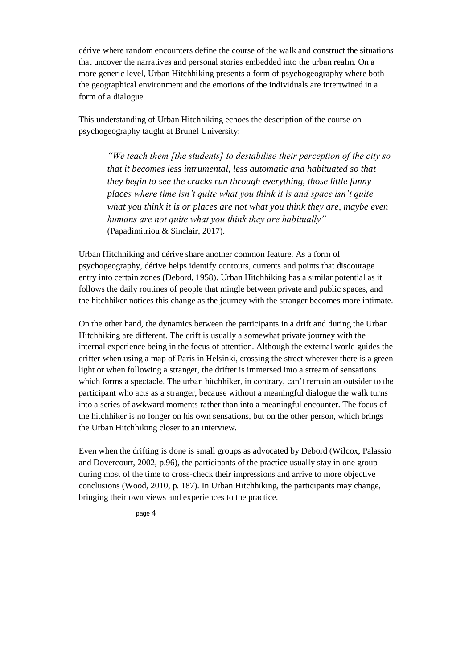dérive where random encounters define the course of the walk and construct the situations that uncover the narratives and personal stories embedded into the urban realm. On a more generic level, Urban Hitchhiking presents a form of psychogeography where both the geographical environment and the emotions of the individuals are intertwined in a form of a dialogue.

This understanding of Urban Hitchhiking echoes the description of the course on psychogeography taught at Brunel University:

*"We teach them [the students] to destabilise their perception of the city so that it becomes less intrumental, less automatic and habituated so that they begin to see the cracks run through everything, those little funny places where time isn't quite what you think it is and space isn't quite what you think it is or places are not what you think they are, maybe even humans are not quite what you think they are habitually"*  (Papadimitriou & Sinclair, 2017).

Urban Hitchhiking and dérive share another common feature. As a form of psychogeography, dérive helps identify contours, currents and points that discourage entry into certain zones (Debord, 1958). Urban Hitchhiking has a similar potential as it follows the daily routines of people that mingle between private and public spaces, and the hitchhiker notices this change as the journey with the stranger becomes more intimate.

On the other hand, the dynamics between the participants in a drift and during the Urban Hitchhiking are different. The drift is usually a somewhat private journey with the internal experience being in the focus of attention. Although the external world guides the drifter when using a map of Paris in Helsinki, crossing the street wherever there is a green light or when following a stranger, the drifter is immersed into a stream of sensations which forms a spectacle. The urban hitchhiker, in contrary, can't remain an outsider to the participant who acts as a stranger, because without a meaningful dialogue the walk turns into a series of awkward moments rather than into a meaningful encounter. The focus of the hitchhiker is no longer on his own sensations, but on the other person, which brings the Urban Hitchhiking closer to an interview.

Even when the drifting is done is small groups as advocated by Debord (Wilcox, Palassio and Dovercourt, 2002, p.96), the participants of the practice usually stay in one group during most of the time to cross-check their impressions and arrive to more objective conclusions (Wood, 2010, p. 187). In Urban Hitchhiking, the participants may change, bringing their own views and experiences to the practice.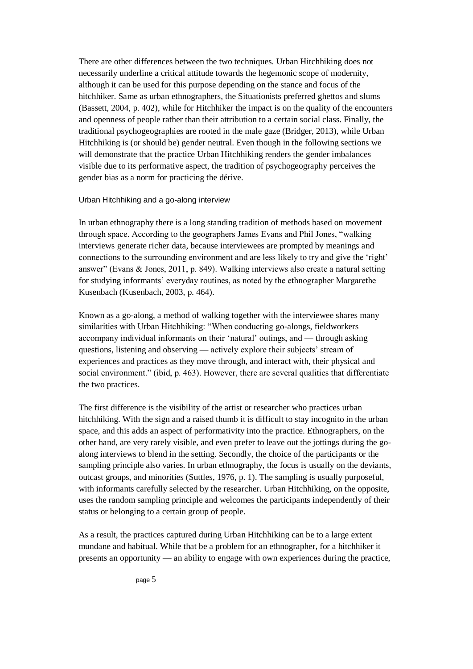There are other differences between the two techniques. Urban Hitchhiking does not necessarily underline a critical attitude towards the hegemonic scope of modernity, although it can be used for this purpose depending on the stance and focus of the hitchhiker. Same as urban ethnographers, the Situationists preferred ghettos and slums (Bassett, 2004, p. 402), while for Hitchhiker the impact is on the quality of the encounters and openness of people rather than their attribution to a certain social class. Finally, the traditional psychogeographies are rooted in the male gaze (Bridger, 2013), while Urban Hitchhiking is (or should be) gender neutral. Even though in the following sections we will demonstrate that the practice Urban Hitchhiking renders the gender imbalances visible due to its performative aspect, the tradition of psychogeography perceives the gender bias as a norm for practicing the dérive.

### Urban Hitchhiking and a go-along interview

In urban ethnography there is a long standing tradition of methods based on movement through space. According to the geographers James Evans and Phil Jones, "walking interviews generate richer data, because interviewees are prompted by meanings and connections to the surrounding environment and are less likely to try and give the 'right' answer" (Evans & Jones, 2011, p. 849). Walking interviews also create a natural setting for studying informants' everyday routines, as noted by the ethnographer Margarethe Kusenbach (Kusenbach, 2003, p. 464).

Known as a go-along, a method of walking together with the interviewee shares many similarities with Urban Hitchhiking: "When conducting go-alongs, fieldworkers accompany individual informants on their 'natural' outings, and — through asking questions, listening and observing — actively explore their subjects' stream of experiences and practices as they move through, and interact with, their physical and social environment." (ibid, p. 463). However, there are several qualities that differentiate the two practices.

The first difference is the visibility of the artist or researcher who practices urban hitchhiking. With the sign and a raised thumb it is difficult to stay incognito in the urban space, and this adds an aspect of performativity into the practice. Ethnographers, on the other hand, are very rarely visible, and even prefer to leave out the jottings during the goalong interviews to blend in the setting. Secondly, the choice of the participants or the sampling principle also varies. In urban ethnography, the focus is usually on the deviants, outcast groups, and minorities (Suttles, 1976, p. 1). The sampling is usually purposeful, with informants carefully selected by the researcher. Urban Hitchhiking, on the opposite, uses the random sampling principle and welcomes the participants independently of their status or belonging to a certain group of people.

As a result, the practices captured during Urban Hitchhiking can be to a large extent mundane and habitual. While that be a problem for an ethnographer, for a hitchhiker it presents an opportunity — an ability to engage with own experiences during the practice,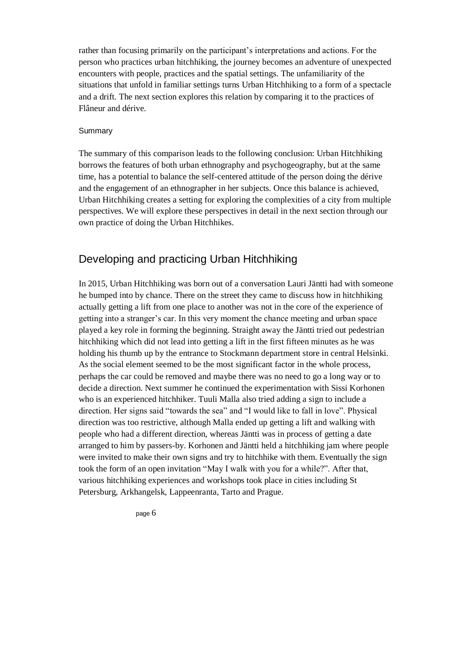rather than focusing primarily on the participant's interpretations and actions. For the person who practices urban hitchhiking, the journey becomes an adventure of unexpected encounters with people, practices and the spatial settings. The unfamiliarity of the situations that unfold in familiar settings turns Urban Hitchhiking to a form of a spectacle and a drift. The next section explores this relation by comparing it to the practices of Flâneur and dérive.

### **Summary**

The summary of this comparison leads to the following conclusion: Urban Hitchhiking borrows the features of both urban ethnography and psychogeography, but at the same time, has a potential to balance the self-centered attitude of the person doing the dérive and the engagement of an ethnographer in her subjects. Once this balance is achieved, Urban Hitchhiking creates a setting for exploring the complexities of a city from multiple perspectives. We will explore these perspectives in detail in the next section through our own practice of doing the Urban Hitchhikes.

# Developing and practicing Urban Hitchhiking

In 2015, Urban Hitchhiking was born out of a conversation Lauri Jäntti had with someone he bumped into by chance. There on the street they came to discuss how in hitchhiking actually getting a lift from one place to another was not in the core of the experience of getting into a stranger's car. In this very moment the chance meeting and urban space played a key role in forming the beginning. Straight away the Jäntti tried out pedestrian hitchhiking which did not lead into getting a lift in the first fifteen minutes as he was holding his thumb up by the entrance to Stockmann department store in central Helsinki. As the social element seemed to be the most significant factor in the whole process, perhaps the car could be removed and maybe there was no need to go a long way or to decide a direction. Next summer he continued the experimentation with Sissi Korhonen who is an experienced hitchhiker. Tuuli Malla also tried adding a sign to include a direction. Her signs said "towards the sea" and "I would like to fall in love". Physical direction was too restrictive, although Malla ended up getting a lift and walking with people who had a different direction, whereas Jäntti was in process of getting a date arranged to him by passers-by. Korhonen and Jäntti held a hitchhiking jam where people were invited to make their own signs and try to hitchhike with them. Eventually the sign took the form of an open invitation "May I walk with you for a while?". After that, various hitchhiking experiences and workshops took place in cities including St Petersburg, Arkhangelsk, Lappeenranta, Tarto and Prague.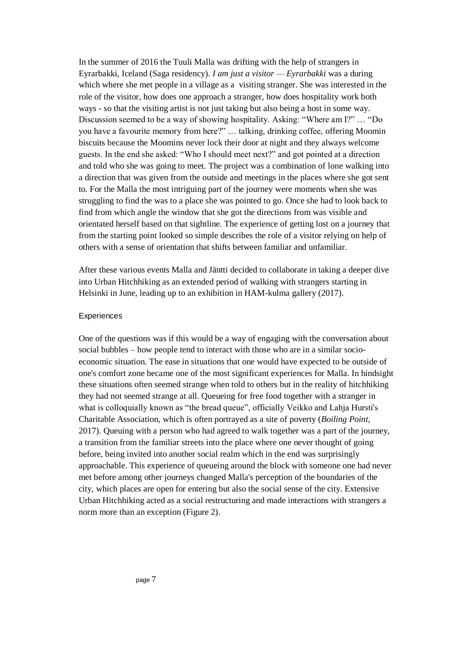In the summer of 2016 the Tuuli Malla was drifting with the help of strangers in Eyrarbakki, Iceland (Saga residency). *I am just a visitor — Eyrarbakki* was a during which where she met people in a village as a visiting stranger. She was interested in the role of the visitor, how does one approach a stranger, how does hospitality work both ways - so that the visiting artist is not just taking but also being a host in some way. Discussion seemed to be a way of showing hospitality. Asking: "Where am I?" … "Do you have a favourite memory from here?" … talking, drinking coffee, offering Moomin biscuits because the Moomins never lock their door at night and they always welcome guests. In the end she asked: "Who I should meet next?" and got pointed at a direction and told who she was going to meet. The project was a combination of lone walking into a direction that was given from the outside and meetings in the places where she got sent to. For the Malla the most intriguing part of the journey were moments when she was struggling to find the was to a place she was pointed to go. Once she had to look back to find from which angle the window that she got the directions from was visible and orientated herself based on that sightline. The experience of getting lost on a journey that from the starting point looked so simple describes the role of a visitor relying on help of others with a sense of orientation that shifts between familiar and unfamiliar.

After these various events Malla and Jäntti decided to collaborate in taking a deeper dive into Urban Hitchhiking as an extended period of walking with strangers starting in Helsinki in June, leading up to an exhibition in HAM-kulma gallery (2017).

#### **Experiences**

One of the questions was if this would be a way of engaging with the conversation about social bubbles – how people tend to interact with those who are in a similar socioeconomic situation. The ease in situations that one would have expected to be outside of one's comfort zone became one of the most significant experiences for Malla. In hindsight these situations often seemed strange when told to others but in the reality of hitchhiking they had not seemed strange at all. Queueing for free food together with a stranger in what is colloquially known as "the bread queue", officially Veikko and Lahja Hursti's Charitable Association, which is often portrayed as a site of poverty (*Boiling Point,*  2017). Queuing with a person who had agreed to walk together was a part of the journey, a transition from the familiar streets into the place where one never thought of going before, being invited into another social realm which in the end was surprisingly approachable. This experience of queueing around the block with someone one had never met before among other journeys changed Malla's perception of the boundaries of the city, which places are open for entering but also the social sense of the city. Extensive Urban Hitchhiking acted as a social restructuring and made interactions with strangers a norm more than an exception (Figure 2).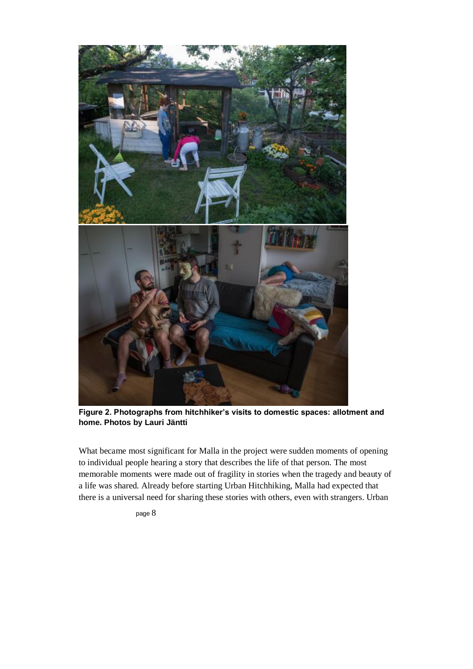

**Figure 2. Photographs from hitchhiker's visits to domestic spaces: allotment and home. Photos by Lauri Jäntti**

What became most significant for Malla in the project were sudden moments of opening to individual people hearing a story that describes the life of that person. The most memorable moments were made out of fragility in stories when the tragedy and beauty of a life was shared. Already before starting Urban Hitchhiking, Malla had expected that there is a universal need for sharing these stories with others, even with strangers. Urban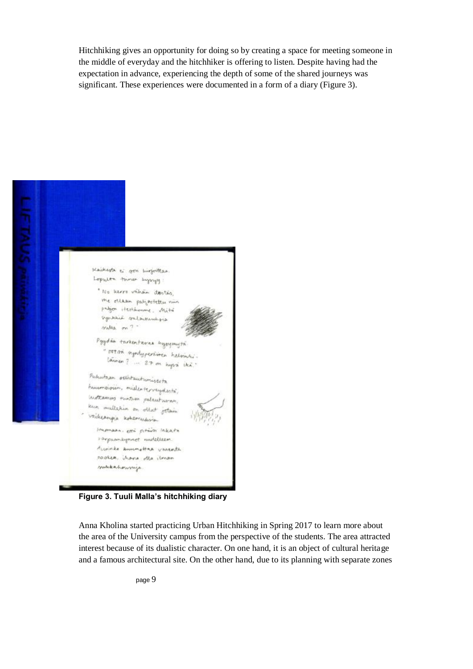Hitchhiking gives an opportunity for doing so by creating a space for meeting someone in the middle of everyday and the hitchhiker is offering to listen. Despite having had the expectation in advance, experiencing the depth of some of the shared journeys was significant. These experiences were documented in a form of a diary (Figure 3).



**Figure 3. Tuuli Malla's hitchhiking diary**

Anna Kholina started practicing Urban Hitchhiking in Spring 2017 to learn more about the area of the University campus from the perspective of the students. The area attracted interest because of its dualistic character. On one hand, it is an object of cultural heritage and a famous architectural site. On the other hand, due to its planning with separate zones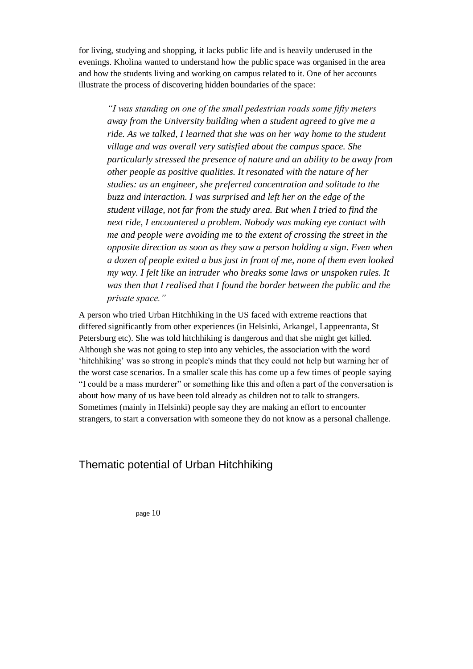for living, studying and shopping, it lacks public life and is heavily underused in the evenings. Kholina wanted to understand how the public space was organised in the area and how the students living and working on campus related to it. One of her accounts illustrate the process of discovering hidden boundaries of the space:

*"I was standing on one of the small pedestrian roads some fifty meters away from the University building when a student agreed to give me a ride. As we talked, I learned that she was on her way home to the student village and was overall very satisfied about the campus space. She particularly stressed the presence of nature and an ability to be away from other people as positive qualities. It resonated with the nature of her studies: as an engineer, she preferred concentration and solitude to the buzz and interaction. I was surprised and left her on the edge of the student village, not far from the study area. But when I tried to find the next ride, I encountered a problem. Nobody was making eye contact with me and people were avoiding me to the extent of crossing the street in the opposite direction as soon as they saw a person holding a sign. Even when a dozen of people exited a bus just in front of me, none of them even looked my way. I felt like an intruder who breaks some laws or unspoken rules. It was then that I realised that I found the border between the public and the private space."*

A person who tried Urban Hitchhiking in the US faced with extreme reactions that differed significantly from other experiences (in Helsinki, Arkangel, Lappeenranta, St Petersburg etc). She was told hitchhiking is dangerous and that she might get killed. Although she was not going to step into any vehicles, the association with the word 'hitchhiking' was so strong in people's minds that they could not help but warning her of the worst case scenarios. In a smaller scale this has come up a few times of people saying "I could be a mass murderer" or something like this and often a part of the conversation is about how many of us have been told already as children not to talk to strangers. Sometimes (mainly in Helsinki) people say they are making an effort to encounter strangers, to start a conversation with someone they do not know as a personal challenge.

# Thematic potential of Urban Hitchhiking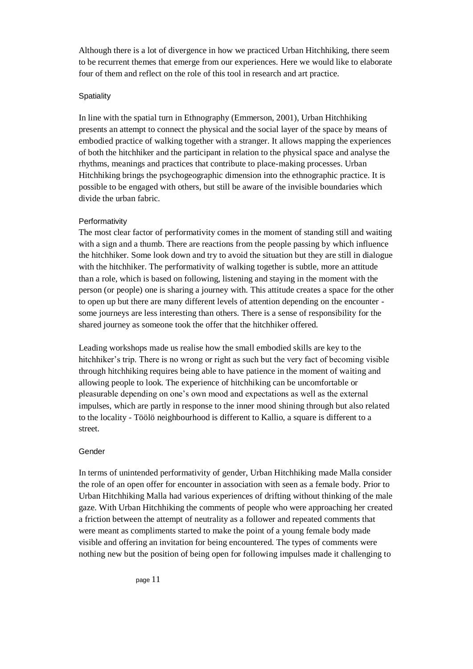Although there is a lot of divergence in how we practiced Urban Hitchhiking, there seem to be recurrent themes that emerge from our experiences. Here we would like to elaborate four of them and reflect on the role of this tool in research and art practice.

### **Spatiality**

In line with the spatial turn in Ethnography (Emmerson, 2001), Urban Hitchhiking presents an attempt to connect the physical and the social layer of the space by means of embodied practice of walking together with a stranger. It allows mapping the experiences of both the hitchhiker and the participant in relation to the physical space and analyse the rhythms, meanings and practices that contribute to place-making processes. Urban Hitchhiking brings the psychogeographic dimension into the ethnographic practice. It is possible to be engaged with others, but still be aware of the invisible boundaries which divide the urban fabric.

### Performativity

The most clear factor of performativity comes in the moment of standing still and waiting with a sign and a thumb. There are reactions from the people passing by which influence the hitchhiker. Some look down and try to avoid the situation but they are still in dialogue with the hitchhiker. The performativity of walking together is subtle, more an attitude than a role, which is based on following, listening and staying in the moment with the person (or people) one is sharing a journey with. This attitude creates a space for the other to open up but there are many different levels of attention depending on the encounter some journeys are less interesting than others. There is a sense of responsibility for the shared journey as someone took the offer that the hitchhiker offered.

Leading workshops made us realise how the small embodied skills are key to the hitchhiker's trip. There is no wrong or right as such but the very fact of becoming visible through hitchhiking requires being able to have patience in the moment of waiting and allowing people to look. The experience of hitchhiking can be uncomfortable or pleasurable depending on one's own mood and expectations as well as the external impulses, which are partly in response to the inner mood shining through but also related to the locality - Töölö neighbourhood is different to Kallio, a square is different to a street.

### Gender

In terms of unintended performativity of gender, Urban Hitchhiking made Malla consider the role of an open offer for encounter in association with seen as a female body. Prior to Urban Hitchhiking Malla had various experiences of drifting without thinking of the male gaze. With Urban Hitchhiking the comments of people who were approaching her created a friction between the attempt of neutrality as a follower and repeated comments that were meant as compliments started to make the point of a young female body made visible and offering an invitation for being encountered. The types of comments were nothing new but the position of being open for following impulses made it challenging to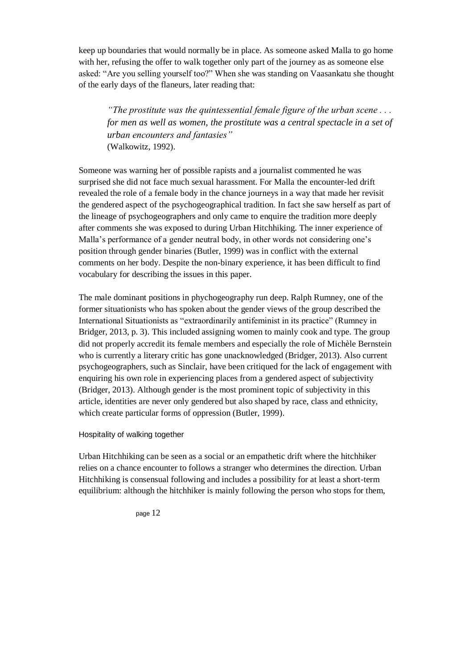keep up boundaries that would normally be in place. As someone asked Malla to go home with her, refusing the offer to walk together only part of the journey as as someone else asked: "Are you selling yourself too?" When she was standing on Vaasankatu she thought of the early days of the flaneurs, later reading that:

*"The prostitute was the quintessential female figure of the urban scene . . . for men as well as women, the prostitute was a central spectacle in a set of urban encounters and fantasies"* (Walkowitz, 1992).

Someone was warning her of possible rapists and a journalist commented he was surprised she did not face much sexual harassment. For Malla the encounter-led drift revealed the role of a female body in the chance journeys in a way that made her revisit the gendered aspect of the psychogeographical tradition. In fact she saw herself as part of the lineage of psychogeographers and only came to enquire the tradition more deeply after comments she was exposed to during Urban Hitchhiking. The inner experience of Malla's performance of a gender neutral body, in other words not considering one's position through gender binaries (Butler, 1999) was in conflict with the external comments on her body. Despite the non-binary experience, it has been difficult to find vocabulary for describing the issues in this paper.

The male dominant positions in phychogeography run deep. Ralph Rumney, one of the former situationists who has spoken about the gender views of the group described the International Situationists as "extraordinarily antifeminist in its practice" (Rumney in Bridger, 2013, p. 3). This included assigning women to mainly cook and type. The group did not properly accredit its female members and especially the role of Michèle Bernstein who is currently a literary critic has gone unacknowledged (Bridger, 2013). Also current psychogeographers, such as Sinclair, have been critiqued for the lack of engagement with enquiring his own role in experiencing places from a gendered aspect of subjectivity (Bridger, 2013). Although gender is the most prominent topic of subjectivity in this article, identities are never only gendered but also shaped by race, class and ethnicity, which create particular forms of oppression (Butler, 1999).

### Hospitality of walking together

Urban Hitchhiking can be seen as a social or an empathetic drift where the hitchhiker relies on a chance encounter to follows a stranger who determines the direction. Urban Hitchhiking is consensual following and includes a possibility for at least a short-term equilibrium: although the hitchhiker is mainly following the person who stops for them,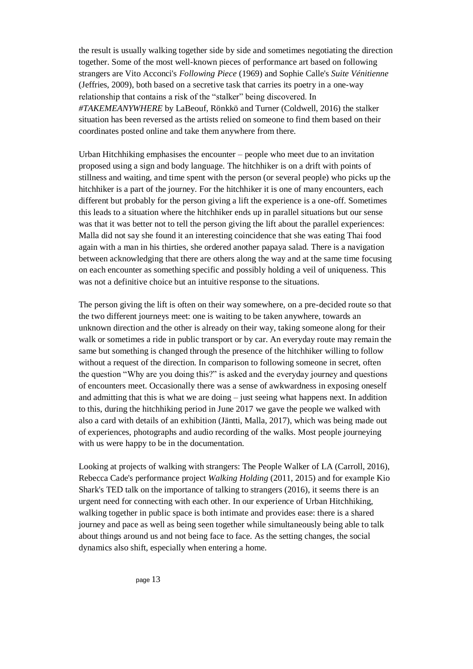the result is usually walking together side by side and sometimes negotiating the direction together. Some of the most well-known pieces of performance art based on following strangers are Vito Acconci's *Following Piece* (1969) and Sophie Calle's *Suite Vénitienne* (Jeffries, 2009), both based on a secretive task that carries its poetry in a one-way relationship that contains a risk of the "stalker" being discovered. In *#TAKEMEANYWHERE* by LaBeouf, Rönkkö and Turner (Coldwell, 2016) the stalker situation has been reversed as the artists relied on someone to find them based on their coordinates posted online and take them anywhere from there.

Urban Hitchhiking emphasises the encounter – people who meet due to an invitation proposed using a sign and body language. The hitchhiker is on a drift with points of stillness and waiting, and time spent with the person (or several people) who picks up the hitchhiker is a part of the journey. For the hitchhiker it is one of many encounters, each different but probably for the person giving a lift the experience is a one-off. Sometimes this leads to a situation where the hitchhiker ends up in parallel situations but our sense was that it was better not to tell the person giving the lift about the parallel experiences: Malla did not say she found it an interesting coincidence that she was eating Thai food again with a man in his thirties, she ordered another papaya salad. There is a navigation between acknowledging that there are others along the way and at the same time focusing on each encounter as something specific and possibly holding a veil of uniqueness. This was not a definitive choice but an intuitive response to the situations.

The person giving the lift is often on their way somewhere, on a pre-decided route so that the two different journeys meet: one is waiting to be taken anywhere, towards an unknown direction and the other is already on their way, taking someone along for their walk or sometimes a ride in public transport or by car. An everyday route may remain the same but something is changed through the presence of the hitchhiker willing to follow without a request of the direction. In comparison to following someone in secret, often the question "Why are you doing this?" is asked and the everyday journey and questions of encounters meet. Occasionally there was a sense of awkwardness in exposing oneself and admitting that this is what we are doing – just seeing what happens next. In addition to this, during the hitchhiking period in June 2017 we gave the people we walked with also a card with details of an exhibition (Jäntti, Malla, 2017), which was being made out of experiences, photographs and audio recording of the walks. Most people journeying with us were happy to be in the documentation.

Looking at projects of walking with strangers: The People Walker of LA (Carroll, 2016), Rebecca Cade's performance project *Walking Holding* (2011, 2015) and for example Kio Shark's TED talk on the importance of talking to strangers (2016), it seems there is an urgent need for connecting with each other. In our experience of Urban Hitchhiking, walking together in public space is both intimate and provides ease: there is a shared journey and pace as well as being seen together while simultaneously being able to talk about things around us and not being face to face. As the setting changes, the social dynamics also shift, especially when entering a home.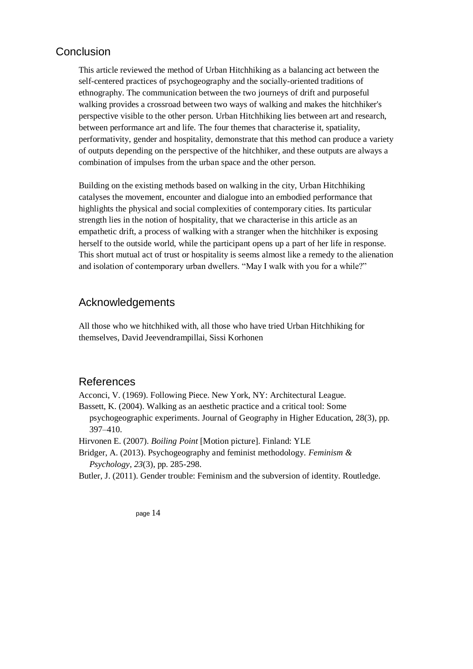# **Conclusion**

This article reviewed the method of Urban Hitchhiking as a balancing act between the self-centered practices of psychogeography and the socially-oriented traditions of ethnography. The communication between the two journeys of drift and purposeful walking provides a crossroad between two ways of walking and makes the hitchhiker's perspective visible to the other person. Urban Hitchhiking lies between art and research, between performance art and life. The four themes that characterise it, spatiality, performativity, gender and hospitality, demonstrate that this method can produce a variety of outputs depending on the perspective of the hitchhiker, and these outputs are always a combination of impulses from the urban space and the other person.

Building on the existing methods based on walking in the city, Urban Hitchhiking catalyses the movement, encounter and dialogue into an embodied performance that highlights the physical and social complexities of contemporary cities. Its particular strength lies in the notion of hospitality, that we characterise in this article as an empathetic drift, a process of walking with a stranger when the hitchhiker is exposing herself to the outside world, while the participant opens up a part of her life in response. This short mutual act of trust or hospitality is seems almost like a remedy to the alienation and isolation of contemporary urban dwellers. "May I walk with you for a while?"

# Acknowledgements

All those who we hitchhiked with, all those who have tried Urban Hitchhiking for themselves, David Jeevendrampillai, Sissi Korhonen

# References

Acconci, V. (1969). Following Piece. New York, NY: Architectural League.

Bassett, K. (2004). Walking as an aesthetic practice and a critical tool: Some

psychogeographic experiments. Journal of Geography in Higher Education, 28(3), pp. 397–410.

Hirvonen E. (2007). *Boiling Point* [Motion picture]. Finland: YLE

Bridger, A. (2013). Psychogeography and feminist methodology. *Feminism & Psychology*, *23*(3), pp. 285-298.

Butler, J. (2011). Gender trouble: Feminism and the subversion of identity. Routledge.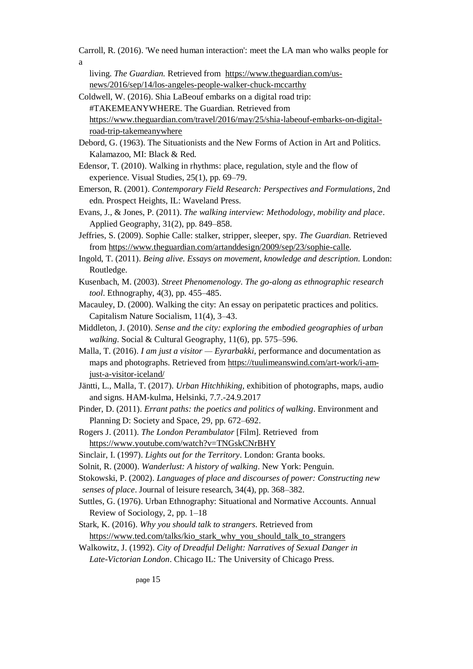Carroll, R. (2016). 'We need human interaction': meet the LA man who walks people for

a

living. *The Guardian.* Retrieved from [https://www.theguardian.com/us](https://www.theguardian.com/us-news/2016/sep/14/los-angeles-people-walker-chuck-mccarthy)[news/2016/sep/14/los-angeles-people-walker-chuck-mccarthy](https://www.theguardian.com/us-news/2016/sep/14/los-angeles-people-walker-chuck-mccarthy)

Coldwell, W. (2016). Shia LaBeouf embarks on a digital road trip: #TAKEMEANYWHERE. The Guardian. Retrieved from [https://www.theguardian.com/travel/2016/may/25/shia-labeouf-embarks-on-digital](https://www.theguardian.com/travel/2016/may/25/shia-labeouf-embarks-on-digital-road-trip-takemeanywhere)[road-trip-takemeanywhere](https://www.theguardian.com/travel/2016/may/25/shia-labeouf-embarks-on-digital-road-trip-takemeanywhere)

Debord, G. (1963). The Situationists and the New Forms of Action in Art and Politics. Kalamazoo, MI: Black & Red.

- Edensor, T. (2010). Walking in rhythms: place, regulation, style and the flow of experience. Visual Studies, 25(1), pp. 69–79.
- Emerson, R. (2001). *Contemporary Field Research: Perspectives and Formulations*, 2nd edn. Prospect Heights, IL: Waveland Press.
- Evans, J., & Jones, P. (2011). *The walking interview: Methodology, mobility and place*. Applied Geography, 31(2), pp. 849–858.
- Jeffries, S. (2009). Sophie Calle: stalker, stripper, sleeper, spy. *The Guardian.* Retrieved fro[m https://www.theguardian.com/artanddesign/2009/sep/23/sophie-calle.](https://www.theguardian.com/artanddesign/2009/sep/23/sophie-calle)
- Ingold, T. (2011). *Being alive. Essays on movement, knowledge and description.* London: Routledge.
- Kusenbach, M. (2003). *Street Phenomenology. The go-along as ethnographic research tool*. Ethnography, 4(3), pp. 455–485.
- Macauley, D. (2000). Walking the city: An essay on peripatetic practices and politics. Capitalism Nature Socialism, 11(4), 3–43.
- Middleton, J. (2010). *Sense and the city: exploring the embodied geographies of urban walking*. Social & Cultural Geography, 11(6), pp. 575–596.
- Malla, T. (2016). *I am just a visitor Eyrarbakki*, performance and documentation as maps and photographs. Retrieved from [https://tuulimeanswind.com/art-work/i-am](https://tuulimeanswind.com/art-work/i-am-just-a-visitor-iceland/)[just-a-visitor-iceland/](https://tuulimeanswind.com/art-work/i-am-just-a-visitor-iceland/)
- Jäntti, L., Malla, T. (2017). *Urban Hitchhiking,* exhibition of photographs, maps, audio and signs. HAM-kulma, Helsinki, 7.7.-24.9.2017
- Pinder, D. (2011). *Errant paths: the poetics and politics of walking*. Environment and Planning D: Society and Space, 29, pp. 672–692.
- Rogers J. (2011). *The London Perambulator* [Film]. Retrieved from <https://www.youtube.com/watch?v=TNGskCNrBHY>
- Sinclair, I. (1997). *Lights out for the Territory*. London: Granta books.
- Solnit, R. (2000). *Wanderlust: A history of walking*. New York: Penguin.

Stokowski, P. (2002). *Languages of place and discourses of power: Constructing new senses of place*. Journal of leisure research, 34(4), pp. 368–382.

- Suttles, G. (1976). Urban Ethnography: Situational and Normative Accounts. Annual Review of Sociology, 2, pp. 1–18
- Stark, K. (2016). *Why you should talk to strangers*. Retrieved from [https://www.ted.com/talks/kio\\_stark\\_why\\_you\\_should\\_talk\\_to\\_strangers](https://www.ted.com/talks/kio_stark_why_you_should_talk_to_strangers)
- Walkowitz, J. (1992). *City of Dreadful Delight: Narratives of Sexual Danger in Late-Victorian London*. Chicago IL: The University of Chicago Press.